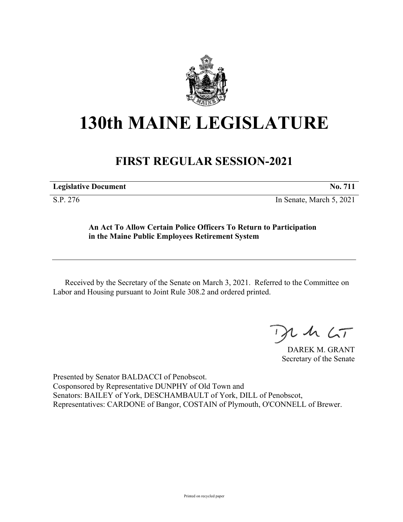

## **130th MAINE LEGISLATURE**

## **FIRST REGULAR SESSION-2021**

**Legislative Document No. 711**

S.P. 276 In Senate, March 5, 2021

**An Act To Allow Certain Police Officers To Return to Participation in the Maine Public Employees Retirement System**

Received by the Secretary of the Senate on March 3, 2021. Referred to the Committee on Labor and Housing pursuant to Joint Rule 308.2 and ordered printed.

 $125$ 

DAREK M. GRANT Secretary of the Senate

Presented by Senator BALDACCI of Penobscot. Cosponsored by Representative DUNPHY of Old Town and Senators: BAILEY of York, DESCHAMBAULT of York, DILL of Penobscot, Representatives: CARDONE of Bangor, COSTAIN of Plymouth, O'CONNELL of Brewer.